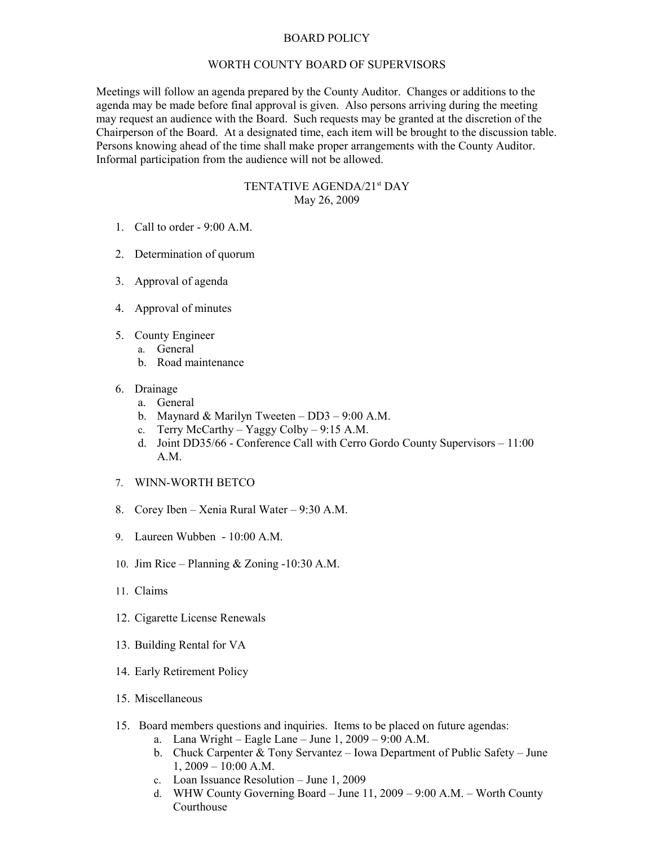## BOARD POLICY

## WORTH COUNTY BOARD OF SUPERVISORS

Meetings will follow an agenda prepared by the County Auditor. Changes or additions to the agenda may be made before final approval is given. Also persons arriving during the meeting may request an audience with the Board. Such requests may be granted at the discretion of the Chairperson of the Board. At a designated time, each item will be brought to the discussion table. Persons knowing ahead of the time shall make proper arrangements with the County Auditor. Informal participation from the audience will not be allowed.

## TENTATIVE AGENDA/21st DAY May 26, 2009

- 1. Call to order 9:00 A.M.
- 2. Determination of quorum
- 3. Approval of agenda
- 4. Approval of minutes
- 5. County Engineer
	- a. General
	- b. Road maintenance
- 6. Drainage
	- a. General
	- b. Maynard & Marilyn Tweeten DD3 9:00 A.M.
	- c. Terry McCarthy Yaggy Colby 9:15 A.M.
	- d. Joint DD35/66 Conference Call with Cerro Gordo County Supervisors 11:00 A.M.
- 7. WINN-WORTH BETCO
- 8. Corey Iben Xenia Rural Water 9:30 A.M.
- 9. Laureen Wubben 10:00 A.M.
- 10. Jim Rice Planning & Zoning -10:30 A.M.
- 11. Claims
- 12. Cigarette License Renewals
- 13. Building Rental for VA
- 14. Early Retirement Policy
- 15. Miscellaneous
- 15. Board members questions and inquiries. Items to be placed on future agendas:
	- a. Lana Wright Eagle Lane June 1, 2009 9:00 A.M.
	- b. Chuck Carpenter & Tony Servantez Iowa Department of Public Safety June  $1, 2009 - 10:00$  A.M.
	- c. Loan Issuance Resolution June 1, 2009
	- d. WHW County Governing Board June 11, 2009 9:00 A.M. Worth County Courthouse